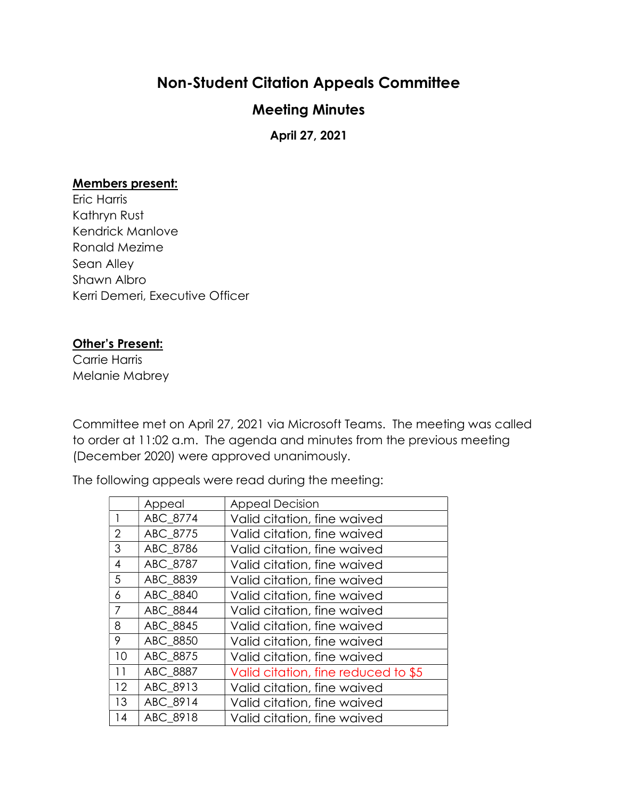## Non-Student Citation Appeals Committee

## Meeting Minutes

April 27, 2021

## Members present:

Eric Harris Kathryn Rust Kendrick Manlove Ronald Mezime Sean Alley Shawn Albro Kerri Demeri, Executive Officer

## Other's Present:

Carrie Harris Melanie Mabrey

Committee met on April 27, 2021 via Microsoft Teams. The meeting was called to order at 11:02 a.m. The agenda and minutes from the previous meeting (December 2020) were approved unanimously.

The following appeals were read during the meeting:

|                | Appeal   | <b>Appeal Decision</b>              |
|----------------|----------|-------------------------------------|
|                | ABC 8774 | Valid citation, fine waived         |
| 2              | ABC 8775 | Valid citation, fine waived         |
| 3              | ABC_8786 | Valid citation, fine waived         |
| $\overline{4}$ | ABC 8787 | Valid citation, fine waived         |
| 5              | ABC_8839 | Valid citation, fine waived         |
| 6              | ABC 8840 | Valid citation, fine waived         |
| $\overline{7}$ | ABC 8844 | Valid citation, fine waived         |
| 8              | ABC 8845 | Valid citation, fine waived         |
| 9              | ABC 8850 | Valid citation, fine waived         |
| 10             | ABC 8875 | Valid citation, fine waived         |
| 11             | ABC 8887 | Valid citation, fine reduced to \$5 |
| 12             | ABC 8913 | Valid citation, fine waived         |
| 13             | ABC_8914 | Valid citation, fine waived         |
| 14             | ABC 8918 | Valid citation, fine waived         |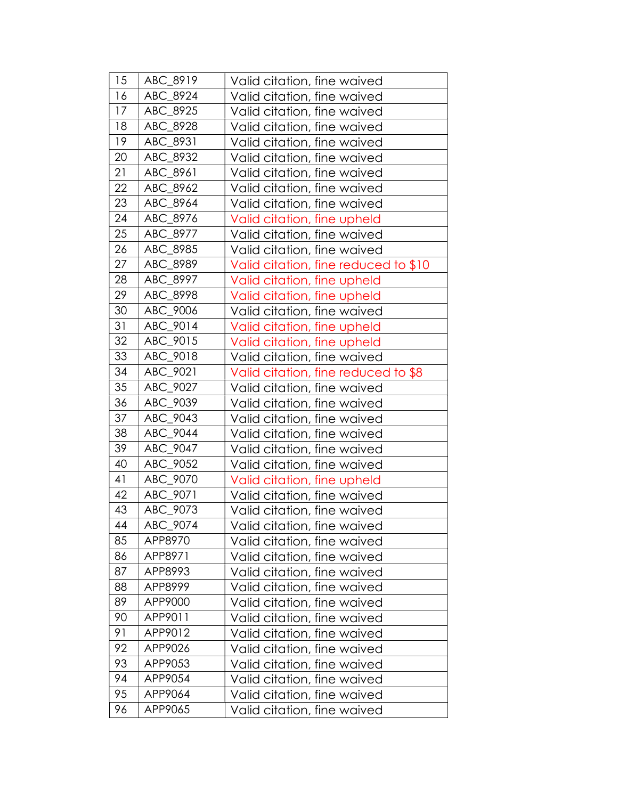| 15 | ABC_8919 | Valid citation, fine waived          |
|----|----------|--------------------------------------|
| 16 | ABC_8924 | Valid citation, fine waived          |
| 17 | ABC_8925 | Valid citation, fine waived          |
| 18 | ABC_8928 | Valid citation, fine waived          |
| 19 | ABC_8931 | Valid citation, fine waived          |
| 20 | ABC 8932 | Valid citation, fine waived          |
| 21 | ABC_8961 | Valid citation, fine waived          |
| 22 | ABC_8962 | Valid citation, fine waived          |
| 23 | ABC_8964 | Valid citation, fine waived          |
| 24 | ABC_8976 | Valid citation, fine upheld          |
| 25 | ABC_8977 | Valid citation, fine waived          |
| 26 | ABC_8985 | Valid citation, fine waived          |
| 27 | ABC_8989 | Valid citation, fine reduced to \$10 |
| 28 | ABC_8997 | Valid citation, fine upheld          |
| 29 | ABC_8998 | Valid citation, fine upheld          |
| 30 | ABC 9006 | Valid citation, fine waived          |
| 31 | ABC_9014 | Valid citation, fine upheld          |
| 32 | ABC_9015 | Valid citation, fine upheld          |
| 33 | ABC 9018 | Valid citation, fine waived          |
| 34 | ABC_9021 | Valid citation, fine reduced to \$8  |
| 35 | ABC_9027 | Valid citation, fine waived          |
| 36 | ABC_9039 | Valid citation, fine waived          |
| 37 | ABC_9043 | Valid citation, fine waived          |
| 38 | ABC_9044 | Valid citation, fine waived          |
| 39 | ABC_9047 | Valid citation, fine waived          |
| 40 | ABC_9052 | Valid citation, fine waived          |
| 41 | ABC_9070 | Valid citation, fine upheld          |
| 42 | ABC 9071 | Valid citation, fine waived          |
| 43 | ABC_9073 | Valid citation, fine waived          |
| 44 | ABC_9074 | Valid citation, fine waived          |
| 85 | APP8970  | Valid citation, fine waived          |
| 86 | APP8971  | Valid citation, fine waived          |
| 87 | APP8993  | Valid citation, fine waived          |
| 88 | APP8999  | Valid citation, fine waived          |
| 89 | APP9000  | Valid citation, fine waived          |
| 90 | APP9011  | Valid citation, fine waived          |
| 91 | APP9012  | Valid citation, fine waived          |
| 92 | APP9026  | Valid citation, fine waived          |
| 93 | APP9053  | Valid citation, fine waived          |
| 94 | APP9054  | Valid citation, fine waived          |
| 95 | APP9064  | Valid citation, fine waived          |
| 96 | APP9065  | Valid citation, fine waived          |